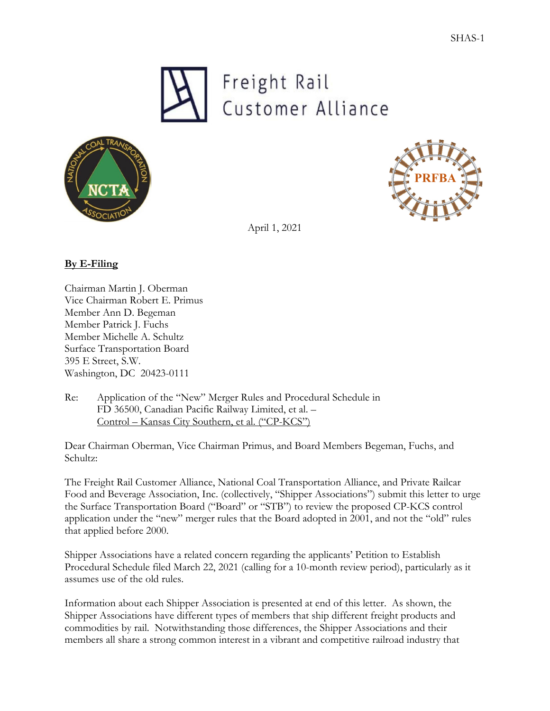





April 1, 2021

# **By E-Filing**

Chairman Martin J. Oberman Vice Chairman Robert E. Primus Member Ann D. Begeman Member Patrick J. Fuchs Member Michelle A. Schultz Surface Transportation Board 395 E Street, S.W. Washington, DC 20423-0111

Re: Application of the "New" Merger Rules and Procedural Schedule in FD 36500, Canadian Pacific Railway Limited, et al. – Control – Kansas City Southern, et al. ("CP-KCS")

Dear Chairman Oberman, Vice Chairman Primus, and Board Members Begeman, Fuchs, and Schultz:

The Freight Rail Customer Alliance, National Coal Transportation Alliance, and Private Railcar Food and Beverage Association, Inc. (collectively, "Shipper Associations") submit this letter to urge the Surface Transportation Board ("Board" or "STB") to review the proposed CP-KCS control application under the "new" merger rules that the Board adopted in 2001, and not the "old" rules that applied before 2000.

Shipper Associations have a related concern regarding the applicants' Petition to Establish Procedural Schedule filed March 22, 2021 (calling for a 10-month review period), particularly as it assumes use of the old rules.

Information about each Shipper Association is presented at end of this letter. As shown, the Shipper Associations have different types of members that ship different freight products and commodities by rail. Notwithstanding those differences, the Shipper Associations and their members all share a strong common interest in a vibrant and competitive railroad industry that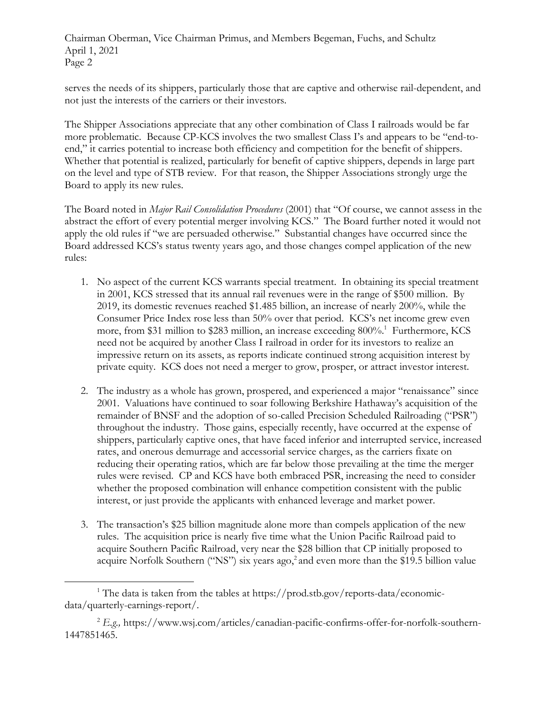serves the needs of its shippers, particularly those that are captive and otherwise rail-dependent, and not just the interests of the carriers or their investors.

The Shipper Associations appreciate that any other combination of Class I railroads would be far more problematic. Because CP-KCS involves the two smallest Class I's and appears to be "end-toend," it carries potential to increase both efficiency and competition for the benefit of shippers. Whether that potential is realized, particularly for benefit of captive shippers, depends in large part on the level and type of STB review. For that reason, the Shipper Associations strongly urge the Board to apply its new rules.

The Board noted in *Major Rail Consolidation Procedures* (2001) that "Of course, we cannot assess in the abstract the effort of every potential merger involving KCS." The Board further noted it would not apply the old rules if "we are persuaded otherwise." Substantial changes have occurred since the Board addressed KCS's status twenty years ago, and those changes compel application of the new rules:

- 1. No aspect of the current KCS warrants special treatment. In obtaining its special treatment in 2001, KCS stressed that its annual rail revenues were in the range of \$500 million. By 2019, its domestic revenues reached \$1.485 billion, an increase of nearly 200%, while the Consumer Price Index rose less than 50% over that period. KCS's net income grew even more, from \$31 million to \$283 million, an increase exceeding 800%.1 Furthermore, KCS need not be acquired by another Class I railroad in order for its investors to realize an impressive return on its assets, as reports indicate continued strong acquisition interest by private equity. KCS does not need a merger to grow, prosper, or attract investor interest.
- 2. The industry as a whole has grown, prospered, and experienced a major "renaissance" since 2001. Valuations have continued to soar following Berkshire Hathaway's acquisition of the remainder of BNSF and the adoption of so-called Precision Scheduled Railroading ("PSR") throughout the industry. Those gains, especially recently, have occurred at the expense of shippers, particularly captive ones, that have faced inferior and interrupted service, increased rates, and onerous demurrage and accessorial service charges, as the carriers fixate on reducing their operating ratios, which are far below those prevailing at the time the merger rules were revised. CP and KCS have both embraced PSR, increasing the need to consider whether the proposed combination will enhance competition consistent with the public interest, or just provide the applicants with enhanced leverage and market power.
- 3. The transaction's \$25 billion magnitude alone more than compels application of the new rules. The acquisition price is nearly five time what the Union Pacific Railroad paid to acquire Southern Pacific Railroad, very near the \$28 billion that CP initially proposed to acquire Norfolk Southern ("NS") six years ago,<sup>2</sup> and even more than the \$19.5 billion value

<sup>&</sup>lt;sup>1</sup> The data is taken from the tables at https://prod.stb.gov/reports-data/economicdata/quarterly-earnings-report/.

<sup>2</sup> *E.g.,* https://www.wsj.com/articles/canadian-pacific-confirms-offer-for-norfolk-southern-1447851465.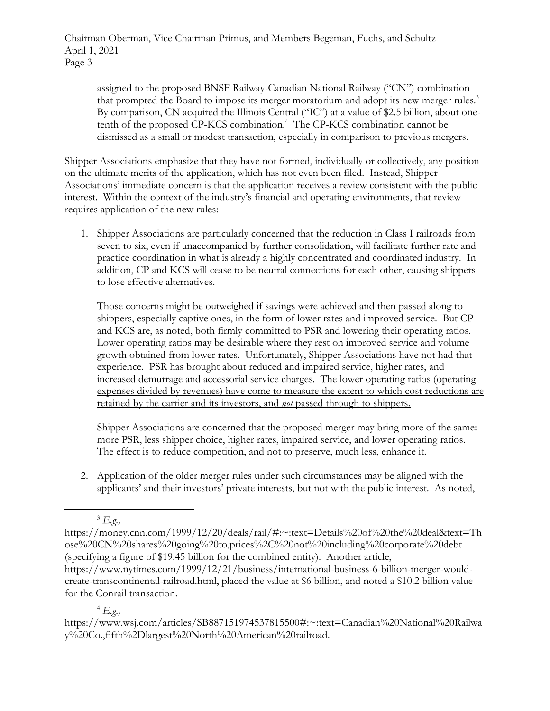assigned to the proposed BNSF Railway-Canadian National Railway ("CN") combination that prompted the Board to impose its merger moratorium and adopt its new merger rules.<sup>3</sup> By comparison, CN acquired the Illinois Central ("IC") at a value of \$2.5 billion, about onetenth of the proposed CP-KCS combination.<sup>4</sup> The CP-KCS combination cannot be dismissed as a small or modest transaction, especially in comparison to previous mergers.

Shipper Associations emphasize that they have not formed, individually or collectively, any position on the ultimate merits of the application, which has not even been filed. Instead, Shipper Associations' immediate concern is that the application receives a review consistent with the public interest. Within the context of the industry's financial and operating environments, that review requires application of the new rules:

1. Shipper Associations are particularly concerned that the reduction in Class I railroads from seven to six, even if unaccompanied by further consolidation, will facilitate further rate and practice coordination in what is already a highly concentrated and coordinated industry. In addition, CP and KCS will cease to be neutral connections for each other, causing shippers to lose effective alternatives.

Those concerns might be outweighed if savings were achieved and then passed along to shippers, especially captive ones, in the form of lower rates and improved service. But CP and KCS are, as noted, both firmly committed to PSR and lowering their operating ratios. Lower operating ratios may be desirable where they rest on improved service and volume growth obtained from lower rates. Unfortunately, Shipper Associations have not had that experience. PSR has brought about reduced and impaired service, higher rates, and increased demurrage and accessorial service charges. The lower operating ratios (operating expenses divided by revenues) have come to measure the extent to which cost reductions are retained by the carrier and its investors, and *not* passed through to shippers.

Shipper Associations are concerned that the proposed merger may bring more of the same: more PSR, less shipper choice, higher rates, impaired service, and lower operating ratios. The effect is to reduce competition, and not to preserve, much less, enhance it.

2. Application of the older merger rules under such circumstances may be aligned with the applicants' and their investors' private interests, but not with the public interest. As noted,

# <sup>4</sup> *E.g.,*

<sup>3</sup> *E.g.,*

https://money.cnn.com/1999/12/20/deals/rail/#:~:text=Details%20of%20the%20deal&text=Th ose%20CN%20shares%20going%20to,prices%2C%20not%20including%20corporate%20debt (specifying a figure of \$19.45 billion for the combined entity). Another article, https://www.nytimes.com/1999/12/21/business/international-business-6-billion-merger-wouldcreate-transcontinental-railroad.html, placed the value at \$6 billion, and noted a \$10.2 billion value for the Conrail transaction.

https://www.wsj.com/articles/SB887151974537815500#:~:text=Canadian%20National%20Railwa y%20Co.,fifth%2Dlargest%20North%20American%20railroad.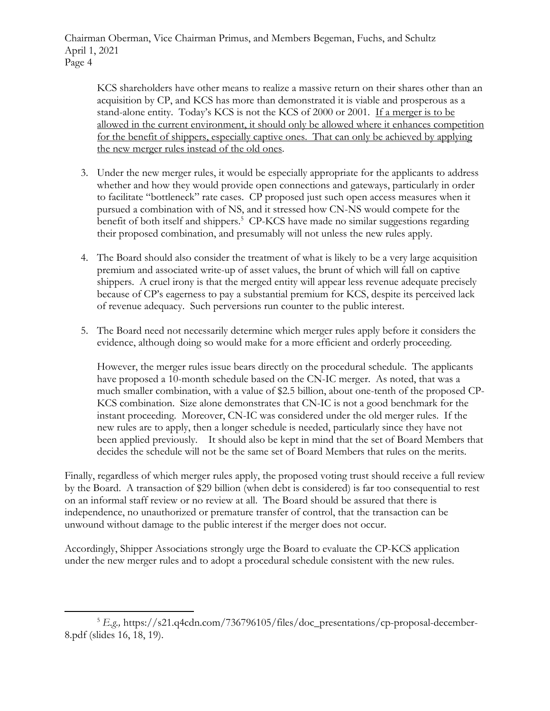KCS shareholders have other means to realize a massive return on their shares other than an acquisition by CP, and KCS has more than demonstrated it is viable and prosperous as a stand-alone entity. Today's KCS is not the KCS of 2000 or 2001. If a merger is to be allowed in the current environment, it should only be allowed where it enhances competition for the benefit of shippers, especially captive ones. That can only be achieved by applying the new merger rules instead of the old ones.

- 3. Under the new merger rules, it would be especially appropriate for the applicants to address whether and how they would provide open connections and gateways, particularly in order to facilitate "bottleneck" rate cases. CP proposed just such open access measures when it pursued a combination with of NS, and it stressed how CN-NS would compete for the benefit of both itself and shippers.<sup>5</sup> CP-KCS have made no similar suggestions regarding their proposed combination, and presumably will not unless the new rules apply.
- 4. The Board should also consider the treatment of what is likely to be a very large acquisition premium and associated write-up of asset values, the brunt of which will fall on captive shippers. A cruel irony is that the merged entity will appear less revenue adequate precisely because of CP's eagerness to pay a substantial premium for KCS, despite its perceived lack of revenue adequacy. Such perversions run counter to the public interest.
- 5. The Board need not necessarily determine which merger rules apply before it considers the evidence, although doing so would make for a more efficient and orderly proceeding.

However, the merger rules issue bears directly on the procedural schedule. The applicants have proposed a 10-month schedule based on the CN-IC merger. As noted, that was a much smaller combination, with a value of \$2.5 billion, about one-tenth of the proposed CP-KCS combination. Size alone demonstrates that CN-IC is not a good benchmark for the instant proceeding. Moreover, CN-IC was considered under the old merger rules. If the new rules are to apply, then a longer schedule is needed, particularly since they have not been applied previously. It should also be kept in mind that the set of Board Members that decides the schedule will not be the same set of Board Members that rules on the merits.

Finally, regardless of which merger rules apply, the proposed voting trust should receive a full review by the Board. A transaction of \$29 billion (when debt is considered) is far too consequential to rest on an informal staff review or no review at all. The Board should be assured that there is independence, no unauthorized or premature transfer of control, that the transaction can be unwound without damage to the public interest if the merger does not occur.

Accordingly, Shipper Associations strongly urge the Board to evaluate the CP-KCS application under the new merger rules and to adopt a procedural schedule consistent with the new rules.

<sup>&</sup>lt;sup>5</sup> *E.g.*, https://s21.q4cdn.com/736796105/files/doc\_presentations/cp-proposal-december-8.pdf (slides 16, 18, 19).